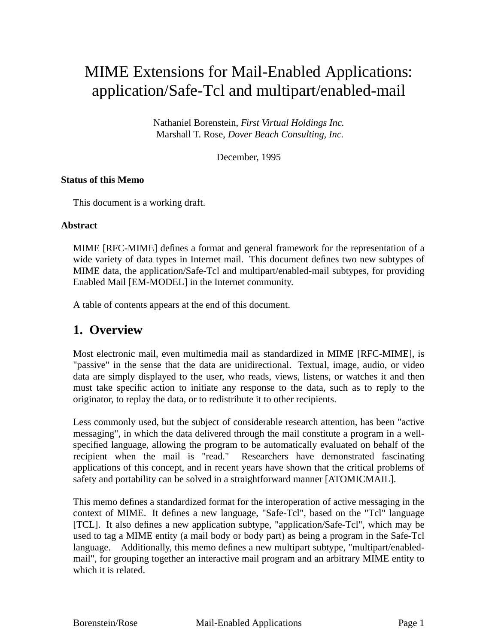# MIME Extensions for Mail-Enabled Applications: application/Safe-Tcl and multipart/enabled-mail

Nathaniel Borenstein, *First Virtual Holdings Inc.* Marshall T. Rose, *Dover Beach Consulting, Inc.*

December, 1995

#### **Status of this Memo**

This document is a working draft.

#### **Abstract**

MIME [RFC-MIME] defines a format and general framework for the representation of a wide variety of data types in Internet mail. This document defines two new subtypes of MIME data, the application/Safe-Tcl and multipart/enabled-mail subtypes, for providing Enabled Mail [EM-MODEL] in the Internet community.

A table of contents appears at the end of this document.

### **1. Overview**

Most electronic mail, even multimedia mail as standardized in MIME [RFC-MIME], is "passive" in the sense that the data are unidirectional. Textual, image, audio, or video data are simply displayed to the user, who reads, views, listens, or watches it and then must take specific action to initiate any response to the data, such as to reply to the originator, to replay the data, or to redistribute it to other recipients.

Less commonly used, but the subject of considerable research attention, has been "active messaging", in which the data delivered through the mail constitute a program in a wellspecified language, allowing the program to be automatically evaluated on behalf of the recipient when the mail is "read." Researchers have demonstrated fascinating applications of this concept, and in recent years have shown that the critical problems of safety and portability can be solved in a straightforward manner [ATOMICMAIL].

This memo defines a standardized format for the interoperation of active messaging in the context of MIME. It defines a new language, "Safe-Tcl", based on the "Tcl" language [TCL]. It also defines a new application subtype, "application/Safe-Tcl", which may be used to tag a MIME entity (a mail body or body part) as being a program in the Safe-Tcl language. Additionally, this memo defines a new multipart subtype, "multipart/enabledmail", for grouping together an interactive mail program and an arbitrary MIME entity to which it is related.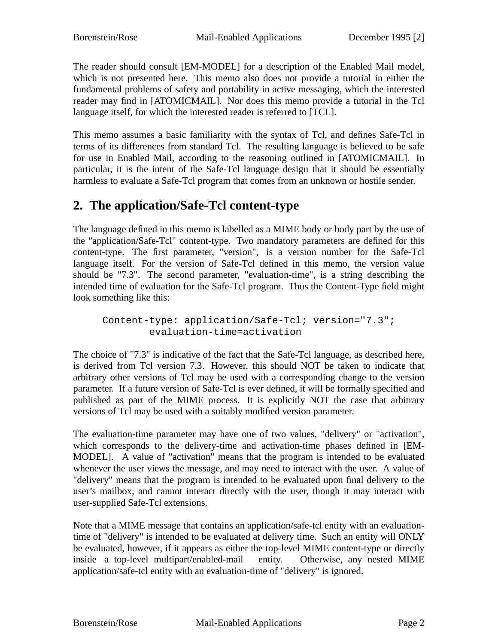The reader should consult [EM-MODEL] for a description of the Enabled Mail model, which is not presented here. This memo also does not provide a tutorial in either the fundamental problems of safety and portability in active messaging, which the interested reader may find in [ATOMICMAIL]. Nor does this memo provide a tutorial in the Tcl language itself, for which the interested reader is referred to [TCL].

This memo assumes a basic familiarity with the syntax of Tcl, and defines Safe-Tcl in terms of its differences from standard Tcl. The resulting language is believed to be safe for use in Enabled Mail, according to the reasoning outlined in [ATOMICMAIL]. In particular, it is the intent of the Safe-Tcl language design that it should be essentially harmless to evaluate a Safe-Tcl program that comes from an unknown or hostile sender.

# **2. The application/Safe-Tcl content-type**

The language defined in this memo is labelled as a MIME body or body part by the use of the "application/Safe-Tcl" content-type. Two mandatory parameters are defined for this content-type. The first parameter, "version", is a version number for the Safe-Tcl language itself. For the version of Safe-Tcl defined in this memo, the version value should be "7.3". The second parameter, "evaluation-time", is a string describing the intended time of evaluation for the Safe-Tcl program. Thus the Content-Type field might look something like this:

Content-type: application/Safe-Tcl; version="7.3"; evaluation-time=activation

The choice of "7.3" is indicative of the fact that the Safe-Tcl language, as described here, is derived from Tcl version 7.3. However, this should NOT be taken to indicate that arbitrary other versions of Tcl may be used with a corresponding change to the version parameter. If a future version of Safe-Tcl is ever defined, it will be formally specified and published as part of the MIME process. It is explicitly NOT the case that arbitrary versions of Tcl may be used with a suitably modified version parameter.

The evaluation-time parameter may have one of two values, "delivery" or "activation", which corresponds to the delivery-time and activation-time phases defined in [EM-MODEL]. A value of "activation" means that the program is intended to be evaluated whenever the user views the message, and may need to interact with the user. A value of "delivery" means that the program is intended to be evaluated upon final delivery to the user's mailbox, and cannot interact directly with the user, though it may interact with user-supplied Safe-Tcl extensions.

Note that a MIME message that contains an application/safe-tcl entity with an evaluationtime of "delivery" is intended to be evaluated at delivery time. Such an entity will ONLY be evaluated, however, if it appears as either the top-level MIME content-type or directly inside a top-level multipart/enabled-mail entity. Otherwise, any nested MIME application/safe-tcl entity with an evaluation-time of "delivery" is ignored.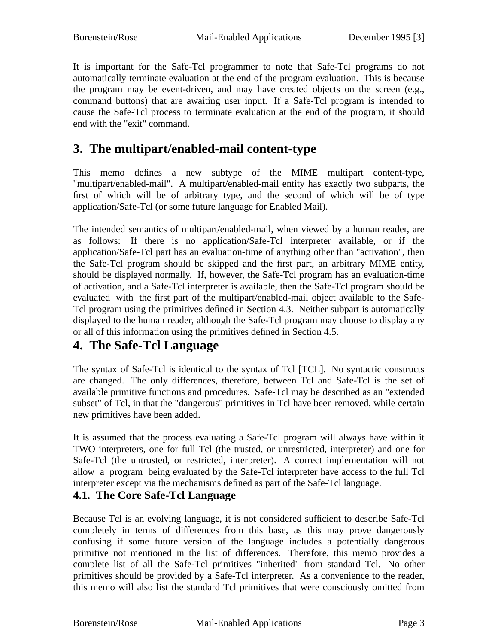It is important for the Safe-Tcl programmer to note that Safe-Tcl programs do not automatically terminate evaluation at the end of the program evaluation. This is because the program may be event-driven, and may have created objects on the screen (e.g., command buttons) that are awaiting user input. If a Safe-Tcl program is intended to cause the Safe-Tcl process to terminate evaluation at the end of the program, it should end with the "exit" command.

# **3. The multipart/enabled-mail content-type**

This memo defines a new subtype of the MIME multipart content-type, "multipart/enabled-mail". A multipart/enabled-mail entity has exactly two subparts, the first of which will be of arbitrary type, and the second of which will be of type application/Safe-Tcl (or some future language for Enabled Mail).

The intended semantics of multipart/enabled-mail, when viewed by a human reader, are as follows: If there is no application/Safe-Tcl interpreter available, or if the application/Safe-Tcl part has an evaluation-time of anything other than "activation", then the Safe-Tcl program should be skipped and the first part, an arbitrary MIME entity, should be displayed normally. If, however, the Safe-Tcl program has an evaluation-time of activation, and a Safe-Tcl interpreter is available, then the Safe-Tcl program should be evaluated with the first part of the multipart/enabled-mail object available to the Safe-Tcl program using the primitives defined in Section 4.3. Neither subpart is automatically displayed to the human reader, although the Safe-Tcl program may choose to display any or all of this information using the primitives defined in Section 4.5.

# **4. The Safe-Tcl Language**

The syntax of Safe-Tcl is identical to the syntax of Tcl [TCL]. No syntactic constructs are changed. The only differences, therefore, between Tcl and Safe-Tcl is the set of available primitive functions and procedures. Safe-Tcl may be described as an "extended subset" of Tcl, in that the "dangerous" primitives in Tcl have been removed, while certain new primitives have been added.

It is assumed that the process evaluating a Safe-Tcl program will always have within it TWO interpreters, one for full Tcl (the trusted, or unrestricted, interpreter) and one for Safe-Tcl (the untrusted, or restricted, interpreter). A correct implementation will not allow a program being evaluated by the Safe-Tcl interpreter have access to the full Tcl interpreter except via the mechanisms defined as part of the Safe-Tcl language.

### **4.1. The Core Safe-Tcl Language**

Because Tcl is an evolving language, it is not considered sufficient to describe Safe-Tcl completely in terms of differences from this base, as this may prove dangerously confusing if some future version of the language includes a potentially dangerous primitive not mentioned in the list of differences. Therefore, this memo provides a complete list of all the Safe-Tcl primitives "inherited" from standard Tcl. No other primitives should be provided by a Safe-Tcl interpreter. As a convenience to the reader, this memo will also list the standard Tcl primitives that were consciously omitted from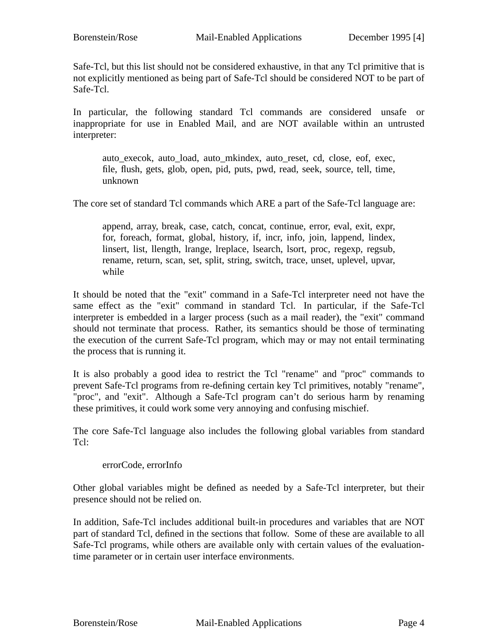Safe-Tcl, but this list should not be considered exhaustive, in that any Tcl primitive that is not explicitly mentioned as being part of Safe-Tcl should be considered NOT to be part of Safe-Tcl.

In particular, the following standard Tcl commands are considered unsafe or inappropriate for use in Enabled Mail, and are NOT available within an untrusted interpreter:

auto execok, auto load, auto mkindex, auto reset, cd, close, eof, exec, file, flush, gets, glob, open, pid, puts, pwd, read, seek, source, tell, time, unknown

The core set of standard Tcl commands which ARE a part of the Safe-Tcl language are:

append, array, break, case, catch, concat, continue, error, eval, exit, expr, for, foreach, format, global, history, if, incr, info, join, lappend, lindex, linsert, list, llength, lrange, lreplace, lsearch, lsort, proc, regexp, regsub, rename, return, scan, set, split, string, switch, trace, unset, uplevel, upvar, while

It should be noted that the "exit" command in a Safe-Tcl interpreter need not have the same effect as the "exit" command in standard Tcl. In particular, if the Safe-Tcl interpreter is embedded in a larger process (such as a mail reader), the "exit" command should not terminate that process. Rather, its semantics should be those of terminating the execution of the current Safe-Tcl program, which may or may not entail terminating the process that is running it.

It is also probably a good idea to restrict the Tcl "rename" and "proc" commands to prevent Safe-Tcl programs from re-defining certain key Tcl primitives, notably "rename", "proc", and "exit". Although a Safe-Tcl program can't do serious harm by renaming these primitives, it could work some very annoying and confusing mischief.

The core Safe-Tcl language also includes the following global variables from standard Tcl:

errorCode, errorInfo

Other global variables might be defined as needed by a Safe-Tcl interpreter, but their presence should not be relied on.

In addition, Safe-Tcl includes additional built-in procedures and variables that are NOT part of standard Tcl, defined in the sections that follow. Some of these are available to all Safe-Tcl programs, while others are available only with certain values of the evaluationtime parameter or in certain user interface environments.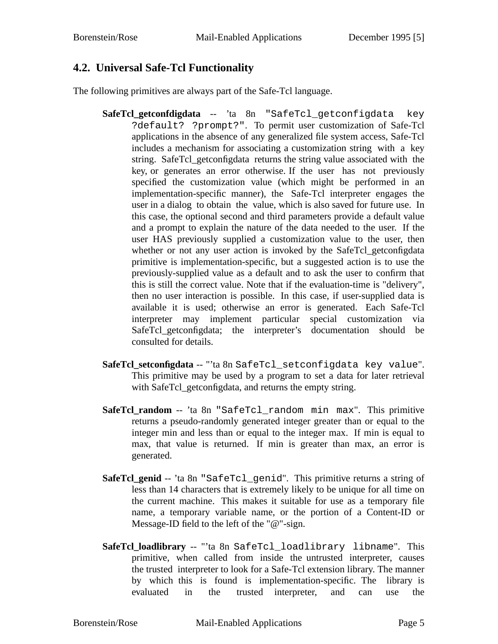### **4.2. Universal Safe-Tcl Functionality**

The following primitives are always part of the Safe-Tcl language.

- **SafeTcl\_getconfdigdata** -- 'ta 8n "SafeTcl\_getconfigdata key ?default? ?prompt?". To permit user customization of Safe-Tcl applications in the absence of any generalized file system access, Safe-Tcl includes a mechanism for associating a customization string with a key string. SafeTcl\_getconfigdata returns the string value associated with the key, or generates an error otherwise. If the user has not previously specified the customization value (which might be performed in an implementation-specific manner), the Safe-Tcl interpreter engages the user in a dialog to obtain the value, which is also saved for future use. In this case, the optional second and third parameters provide a default value and a prompt to explain the nature of the data needed to the user. If the user HAS previously supplied a customization value to the user, then whether or not any user action is invoked by the SafeTcl\_getconfigdata primitive is implementation-specific, but a suggested action is to use the previously-supplied value as a default and to ask the user to confirm that this is still the correct value. Note that if the evaluation-time is "delivery", then no user interaction is possible. In this case, if user-supplied data is available it is used; otherwise an error is generated. Each Safe-Tcl interpreter may implement particular special customization via SafeTcl\_getconfigdata; the interpreter's documentation should be consulted for details.
- **SafeTcl\_setconfigdata** -- "'ta 8n SafeTcl\_setconfigdata key value". This primitive may be used by a program to set a data for later retrieval with SafeTcl\_getconfigdata, and returns the empty string.
- **SafeTcl\_random** -- 'ta 8n "SafeTcl\_random min max". This primitive returns a pseudo-randomly generated integer greater than or equal to the integer min and less than or equal to the integer max. If min is equal to max, that value is returned. If min is greater than max, an error is generated.
- **SafeTcl\_genid** -- 'ta 8n "SafeTcl\_genid". This primitive returns a string of less than 14 characters that is extremely likely to be unique for all time on the current machine. This makes it suitable for use as a temporary file name, a temporary variable name, or the portion of a Content-ID or Message-ID field to the left of the "@"-sign.
- **SafeTcl\_loadlibrary** -- "'ta 8n SafeTcl\_loadlibrary libname". This primitive, when called from inside the untrusted interpreter, causes the trusted interpreter to look for a Safe-Tcl extension library. The manner by which this is found is implementation-specific. The library is evaluated in the trusted interpreter, and can use the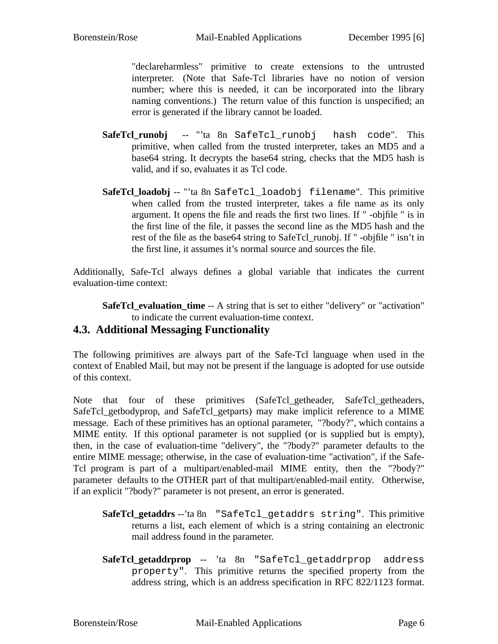"declareharmless" primitive to create extensions to the untrusted interpreter. (Note that Safe-Tcl libraries have no notion of version number; where this is needed, it can be incorporated into the library naming conventions.) The return value of this function is unspecified; an error is generated if the library cannot be loaded.

- **SafeTcl\_runobj** -- "'ta 8n SafeTcl\_runobj hash code". This primitive, when called from the trusted interpreter, takes an MD5 and a base64 string. It decrypts the base64 string, checks that the MD5 hash is valid, and if so, evaluates it as Tcl code.
- **SafeTcl\_loadobj** -- "'ta 8n SafeTcl\_loadobj filename". This primitive when called from the trusted interpreter, takes a file name as its only argument. It opens the file and reads the first two lines. If " -objfile " is in the first line of the file, it passes the second line as the MD5 hash and the rest of the file as the base64 string to SafeTcl\_runobj. If " -objfile " isn't in the first line, it assumes it's normal source and sources the file.

Additionally, Safe-Tcl always defines a global variable that indicates the current evaluation-time context:

**SafeTcl\_evaluation\_time** -- A string that is set to either "delivery" or "activation" to indicate the current evaluation-time context.

### **4.3. Additional Messaging Functionality**

The following primitives are always part of the Safe-Tcl language when used in the context of Enabled Mail, but may not be present if the language is adopted for use outside of this context.

Note that four of these primitives (SafeTcl\_getheader, SafeTcl\_getheaders, SafeTcl\_getbodyprop, and SafeTcl\_getparts) may make implicit reference to a MIME message. Each of these primitives has an optional parameter, "?body?", which contains a MIME entity. If this optional parameter is not supplied (or is supplied but is empty), then, in the case of evaluation-time "delivery", the "?body?" parameter defaults to the entire MIME message; otherwise, in the case of evaluation-time "activation", if the Safe-Tcl program is part of a multipart/enabled-mail MIME entity, then the "?body?" parameter defaults to the OTHER part of that multipart/enabled-mail entity. Otherwise, if an explicit "?body?" parameter is not present, an error is generated.

- **SafeTcl\_getaddrs** --'ta 8n "SafeTcl\_getaddrs string". This primitive returns a list, each element of which is a string containing an electronic mail address found in the parameter.
- **SafeTcl\_getaddrprop** -- 'ta 8n "SafeTcl\_getaddrprop address property". This primitive returns the specified property from the address string, which is an address specification in RFC 822/1123 format.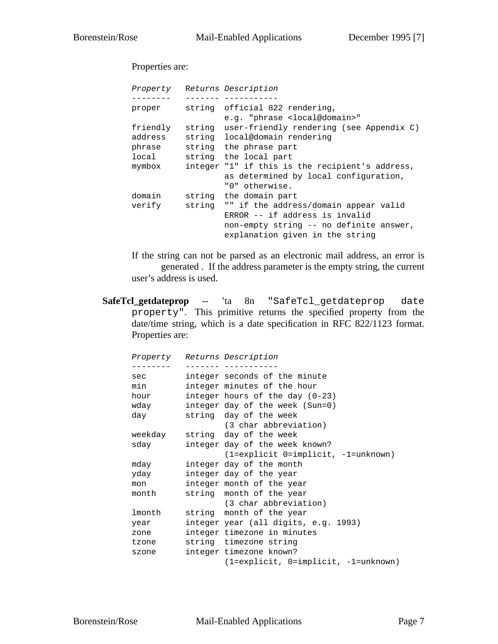Properties are:

Property Returns Description -------- ------- ---------- proper string official 822 rendering, e.g. "phrase <local@domain>" friendly string user-friendly rendering (see Appendix C) address string local@domain rendering phrase string the phrase part local string the local part mymbox integer "1" if this is the recipient's address, as determined by local configuration, "0" otherwise. domain string the domain part verify string "" if the address/domain appear valid ERROR -- if address is invalid non-empty string -- no definite answer, explanation given in the string

If the string can not be parsed as an electronic mail address, an error is generated . If the address parameter is the empty string, the current user's address is used.

**SafeTcl\_getdateprop** -- 'ta 8n "SafeTcl\_getdateprop date property". This primitive returns the specified property from the date/time string, which is a date specification in RFC 822/1123 format. Properties are:

|                                                                                                                                                                                                                               | Property Returns Description         |
|-------------------------------------------------------------------------------------------------------------------------------------------------------------------------------------------------------------------------------|--------------------------------------|
|                                                                                                                                                                                                                               |                                      |
| sec and the second second second second second second second second second second second second second second second second second second second second second second second second second second second second second second | integer seconds of the minute        |
| min                                                                                                                                                                                                                           | integer minutes of the hour          |
| hour                                                                                                                                                                                                                          | integer hours of the day $(0-23)$    |
| wday                                                                                                                                                                                                                          | integer day of the week (Sun=0)      |
| day                                                                                                                                                                                                                           | string day of the week               |
|                                                                                                                                                                                                                               | (3 char abbreviation)                |
|                                                                                                                                                                                                                               | weekday string day of the week       |
| sday                                                                                                                                                                                                                          | integer day of the week known?       |
|                                                                                                                                                                                                                               | (1=explicit 0=implicit, -1=unknown)  |
| mday                                                                                                                                                                                                                          | integer day of the month             |
| yday                                                                                                                                                                                                                          | integer day of the year              |
| mon                                                                                                                                                                                                                           | integer month of the year            |
| month                                                                                                                                                                                                                         | string month of the year             |
|                                                                                                                                                                                                                               | (3 char abbreviation)                |
| lmonth                                                                                                                                                                                                                        | string month of the year             |
| year                                                                                                                                                                                                                          | integer year (all digits, e.g. 1993) |
| zone                                                                                                                                                                                                                          | integer timezone in minutes          |
| tzone                                                                                                                                                                                                                         | string timezone string               |
| szone                                                                                                                                                                                                                         | integer timezone known?              |
|                                                                                                                                                                                                                               | (1=explicit, 0=implicit, -1=unknown) |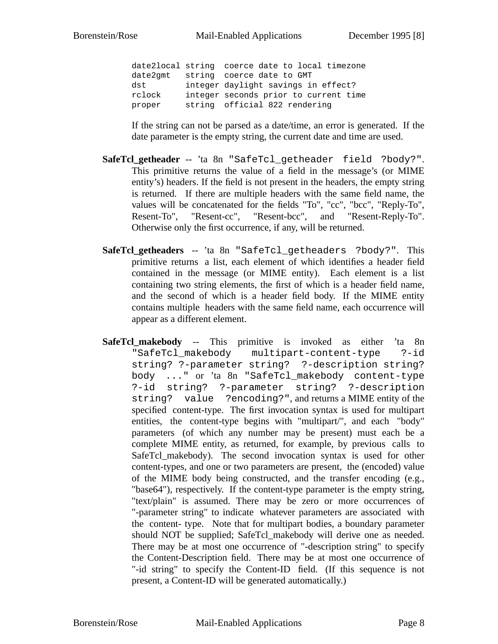date2local string coerce date to local timezone date2gmt string coerce date to GMT dst integer daylight savings in effect? rclock integer seconds prior to current time proper string official 822 rendering

If the string can not be parsed as a date/time, an error is generated. If the date parameter is the empty string, the current date and time are used.

- **SafeTcl\_getheader** -- 'ta 8n "SafeTcl\_getheader field ?body?". This primitive returns the value of a field in the message's (or MIME entity's) headers. If the field is not present in the headers, the empty string is returned. If there are multiple headers with the same field name, the values will be concatenated for the fields "To", "cc", "bcc", "Reply-To", Resent-To", "Resent-cc", "Resent-bcc", and "Resent-Reply-To". Otherwise only the first occurrence, if any, will be returned.
- **SafeTcl\_getheaders** -- 'ta 8n "SafeTcl\_getheaders ?body?". This primitive returns a list, each element of which identifies a header field contained in the message (or MIME entity). Each element is a list containing two string elements, the first of which is a header field name, and the second of which is a header field body. If the MIME entity contains multiple headers with the same field name, each occurrence will appear as a different element.
- **SafeTcl\_makebody** -- This primitive is invoked as either 'ta 8n "SafeTcl\_makebody multipart-content-type ?-id string? ?-parameter string? ?-description string? body ..." or 'ta 8n "SafeTcl\_makebody content-type ?-id string? ?-parameter string? ?-description string? value ?encoding?", and returns a MIME entity of the specified content-type. The first invocation syntax is used for multipart entities, the content-type begins with "multipart/", and each "body" parameters (of which any number may be present) must each be a complete MIME entity, as returned, for example, by previous calls to SafeTcl\_makebody). The second invocation syntax is used for other content-types, and one or two parameters are present, the (encoded) value of the MIME body being constructed, and the transfer encoding (e.g., "base64"), respectively. If the content-type parameter is the empty string, "text/plain" is assumed. There may be zero or more occurrences of "-parameter string" to indicate whatever parameters are associated with the content- type. Note that for multipart bodies, a boundary parameter should NOT be supplied; SafeTcl\_makebody will derive one as needed. There may be at most one occurrence of "-description string" to specify the Content-Description field. There may be at most one occurrence of "-id string" to specify the Content-ID field. (If this sequence is not present, a Content-ID will be generated automatically.)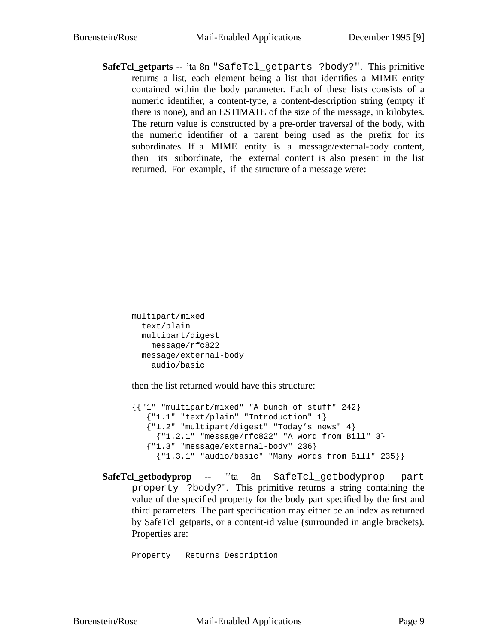**SafeTcl\_getparts** -- 'ta 8n "SafeTcl\_getparts ?body?". This primitive returns a list, each element being a list that identifies a MIME entity contained within the body parameter. Each of these lists consists of a numeric identifier, a content-type, a content-description string (empty if there is none), and an ESTIMATE of the size of the message, in kilobytes. The return value is constructed by a pre-order traversal of the body, with the numeric identifier of a parent being used as the prefix for its subordinates. If a MIME entity is a message/external-body content, then its subordinate, the external content is also present in the list returned. For example, if the structure of a message were:

```
multipart/mixed
  text/plain
  multipart/digest
   message/rfc822
  message/external-body
    audio/basic
```
then the list returned would have this structure:

```
{{"1" "multipart/mixed" "A bunch of stuff" 242}
   {"1.1" "text/plain" "Introduction" 1}
   {"1.2" "multipart/digest" "Today's news" 4}
     {"1.2.1" "message/rfc822" "A word from Bill" 3}
   {"1.3" "message/external-body" 236}
     {T1.3.1" "audio/basic" "Many words from Bill" 235}}
```
**SafeTcl\_getbodyprop** -- "'ta 8n SafeTcl\_getbodyprop part property ?body?". This primitive returns a string containing the value of the specified property for the body part specified by the first and third parameters. The part specification may either be an index as returned by SafeTcl\_getparts, or a content-id value (surrounded in angle brackets). Properties are:

Property Returns Description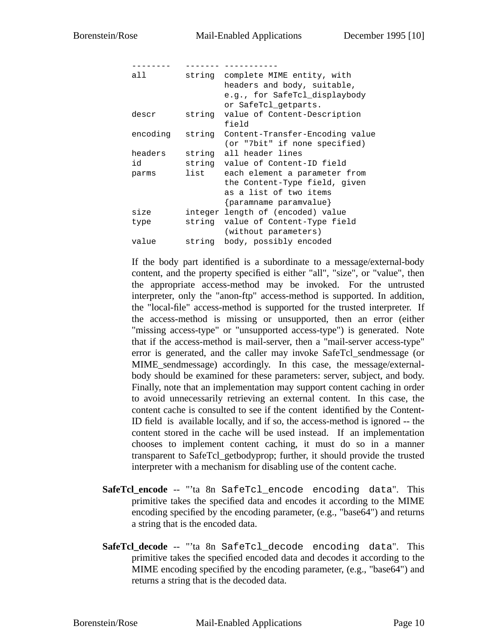| all      |        | string complete MIME entity, with<br>headers and body, suitable, |
|----------|--------|------------------------------------------------------------------|
|          |        | e.g., for SafeTcl displaybody<br>or SafeTcl_getparts.            |
| descr    |        | string value of Content-Description<br>field                     |
| encoding | string | Content-Transfer-Encoding value<br>(or "7bit" if none specified) |
| headers  |        | string all header lines                                          |
| id       |        | string value of Content-ID field                                 |
| parms    |        | list each element a parameter from                               |
|          |        | the Content-Type field, given                                    |
|          |        | as a list of two items                                           |
|          |        | {paramname paramvalue}                                           |
| size     |        | integer length of (encoded) value                                |
| type     |        | string value of Content-Type field                               |
|          |        | (without parameters)                                             |
| value    | string | body, possibly encoded                                           |

If the body part identified is a subordinate to a message/external-body content, and the property specified is either "all", "size", or "value", then the appropriate access-method may be invoked. For the untrusted interpreter, only the "anon-ftp" access-method is supported. In addition, the "local-file" access-method is supported for the trusted interpreter. If the access-method is missing or unsupported, then an error (either "missing access-type" or "unsupported access-type") is generated. Note that if the access-method is mail-server, then a "mail-server access-type" error is generated, and the caller may invoke SafeTcl\_sendmessage (or MIME\_sendmessage) accordingly. In this case, the message/externalbody should be examined for these parameters: server, subject, and body. Finally, note that an implementation may support content caching in order to avoid unnecessarily retrieving an external content. In this case, the content cache is consulted to see if the content identified by the Content-ID field is available locally, and if so, the access-method is ignored -- the content stored in the cache will be used instead. If an implementation chooses to implement content caching, it must do so in a manner transparent to SafeTcl\_getbodyprop; further, it should provide the trusted interpreter with a mechanism for disabling use of the content cache.

- **SafeTcl\_encode** -- "'ta 8n SafeTcl\_encode encoding data". This primitive takes the specified data and encodes it according to the MIME encoding specified by the encoding parameter, (e.g., "base64") and returns a string that is the encoded data.
- SafeTcl decode -- "'ta 8n SafeTcl decode encoding data". This primitive takes the specified encoded data and decodes it according to the MIME encoding specified by the encoding parameter, (e.g., "base64") and returns a string that is the decoded data.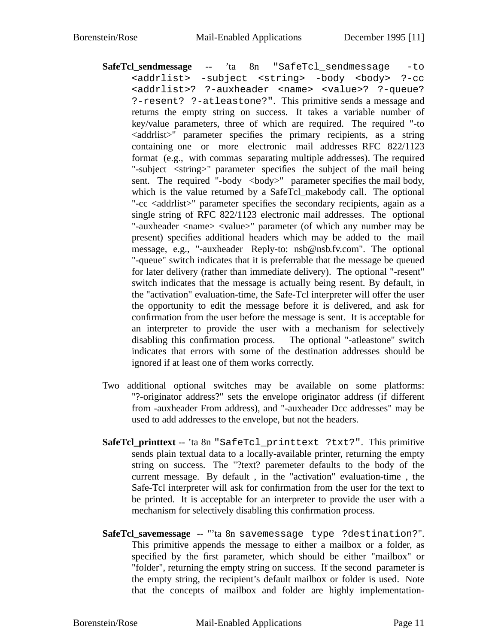- **SafeTcl\_sendmessage** -- 'ta 8n "SafeTcl\_sendmessage -to <addrlist> -subject <string> -body <body> ?-cc <addrlist>? ?-auxheader <name> <value>? ?-queue? ?-resent? ?-atleastone?". This primitive sends a message and returns the empty string on success. It takes a variable number of key/value parameters, three of which are required. The required "-to <addrlist>" parameter specifies the primary recipients, as a string containing one or more electronic mail addresses RFC 822/1123 format (e.g., with commas separating multiple addresses). The required "-subject <string>" parameter specifies the subject of the mail being sent. The required "-body  $\lt{body}$ " parameter specifies the mail body, which is the value returned by a SafeTcl\_makebody call. The optional "-cc <addrlist>" parameter specifies the secondary recipients, again as a single string of RFC 822/1123 electronic mail addresses. The optional "-auxheader <name> <value>" parameter (of which any number may be present) specifies additional headers which may be added to the mail message, e.g., "-auxheader Reply-to: nsb@nsb.fv.com". The optional "-queue" switch indicates that it is preferrable that the message be queued for later delivery (rather than immediate delivery). The optional "-resent" switch indicates that the message is actually being resent. By default, in the "activation" evaluation-time, the Safe-Tcl interpreter will offer the user the opportunity to edit the message before it is delivered, and ask for confirmation from the user before the message is sent. It is acceptable for an interpreter to provide the user with a mechanism for selectively disabling this confirmation process. The optional "-atleastone" switch indicates that errors with some of the destination addresses should be ignored if at least one of them works correctly.
- Two additional optional switches may be available on some platforms: "?-originator address?" sets the envelope originator address (if different from -auxheader From address), and "-auxheader Dcc addresses" may be used to add addresses to the envelope, but not the headers.
- **SafeTcl\_printtext** -- 'ta 8n "SafeTcl\_printtext ?txt?". This primitive sends plain textual data to a locally-available printer, returning the empty string on success. The "?text? paremeter defaults to the body of the current message. By default , in the "activation" evaluation-time , the Safe-Tcl interpreter will ask for confirmation from the user for the text to be printed. It is acceptable for an interpreter to provide the user with a mechanism for selectively disabling this confirmation process.
- SafeTcl savemessage -- "'ta 8n savemessage type ?destination?". This primitive appends the message to either a mailbox or a folder, as specified by the first parameter, which should be either "mailbox" or "folder", returning the empty string on success. If the second parameter is the empty string, the recipient's default mailbox or folder is used. Note that the concepts of mailbox and folder are highly implementation-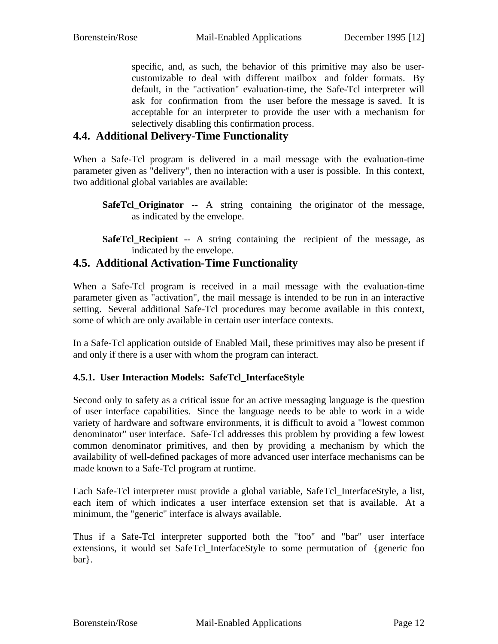specific, and, as such, the behavior of this primitive may also be usercustomizable to deal with different mailbox and folder formats. By default, in the "activation" evaluation-time, the Safe-Tcl interpreter will ask for confirmation from the user before the message is saved. It is acceptable for an interpreter to provide the user with a mechanism for selectively disabling this confirmation process.

#### **4.4. Additional Delivery-Time Functionality**

When a Safe-Tcl program is delivered in a mail message with the evaluation-time parameter given as "delivery", then no interaction with a user is possible. In this context, two additional global variables are available:

- **SafeTcl\_Originator** -- A string containing the originator of the message, as indicated by the envelope.
- **SafeTcl\_Recipient** -- A string containing the recipient of the message, as indicated by the envelope.

### **4.5. Additional Activation-Time Functionality**

When a Safe-Tcl program is received in a mail message with the evaluation-time parameter given as "activation", the mail message is intended to be run in an interactive setting. Several additional Safe-Tcl procedures may become available in this context, some of which are only available in certain user interface contexts.

In a Safe-Tcl application outside of Enabled Mail, these primitives may also be present if and only if there is a user with whom the program can interact.

#### **4.5.1. User Interaction Models: SafeTcl\_InterfaceStyle**

Second only to safety as a critical issue for an active messaging language is the question of user interface capabilities. Since the language needs to be able to work in a wide variety of hardware and software environments, it is difficult to avoid a "lowest common denominator" user interface. Safe-Tcl addresses this problem by providing a few lowest common denominator primitives, and then by providing a mechanism by which the availability of well-defined packages of more advanced user interface mechanisms can be made known to a Safe-Tcl program at runtime.

Each Safe-Tcl interpreter must provide a global variable, SafeTcl\_InterfaceStyle, a list, each item of which indicates a user interface extension set that is available. At a minimum, the "generic" interface is always available.

Thus if a Safe-Tcl interpreter supported both the "foo" and "bar" user interface extensions, it would set SafeTcl\_InterfaceStyle to some permutation of {generic foo bar}.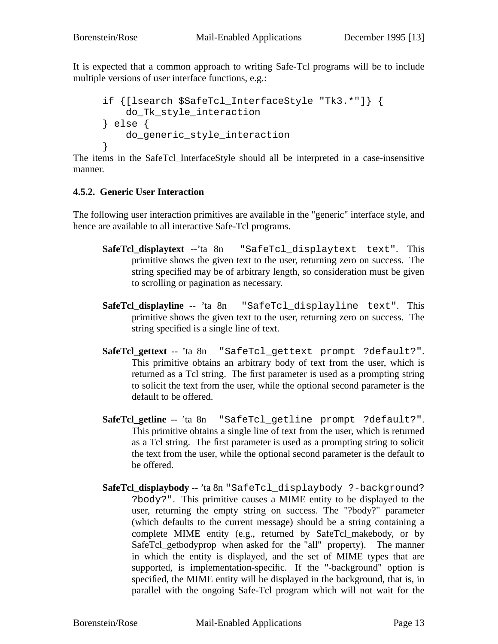It is expected that a common approach to writing Safe-Tcl programs will be to include multiple versions of user interface functions, e.g.:

```
if {[lsearch $SafeTcl_InterfaceStyle "Tk3.*"]} {
   do_Tk_style_interaction
} else {
   do_generic_style_interaction
}
```
The items in the SafeTcl\_InterfaceStyle should all be interpreted in a case-insensitive manner.

#### **4.5.2. Generic User Interaction**

The following user interaction primitives are available in the "generic" interface style, and hence are available to all interactive Safe-Tcl programs.

- **SafeTcl\_displaytext** --'ta 8n "SafeTcl\_displaytext text". This primitive shows the given text to the user, returning zero on success. The string specified may be of arbitrary length, so consideration must be given to scrolling or pagination as necessary.
- **SafeTcl\_displayline** -- 'ta 8n "SafeTcl\_displayline text". This primitive shows the given text to the user, returning zero on success. The string specified is a single line of text.
- **SafeTcl\_gettext** -- 'ta 8n "SafeTcl\_gettext prompt ?default?". This primitive obtains an arbitrary body of text from the user, which is returned as a Tcl string. The first parameter is used as a prompting string to solicit the text from the user, while the optional second parameter is the default to be offered.
- **SafeTcl\_getline** -- 'ta 8n "SafeTcl\_getline prompt ?default?". This primitive obtains a single line of text from the user, which is returned as a Tcl string. The first parameter is used as a prompting string to solicit the text from the user, while the optional second parameter is the default to be offered.
- **SafeTcl\_displaybody** -- 'ta 8n "SafeTcl\_displaybody ?-background? ?body?". This primitive causes a MIME entity to be displayed to the user, returning the empty string on success. The "?body?" parameter (which defaults to the current message) should be a string containing a complete MIME entity (e.g., returned by SafeTcl\_makebody, or by SafeTcl\_getbodyprop when asked for the "all" property). The manner in which the entity is displayed, and the set of MIME types that are supported, is implementation-specific. If the "-background" option is specified, the MIME entity will be displayed in the background, that is, in parallel with the ongoing Safe-Tcl program which will not wait for the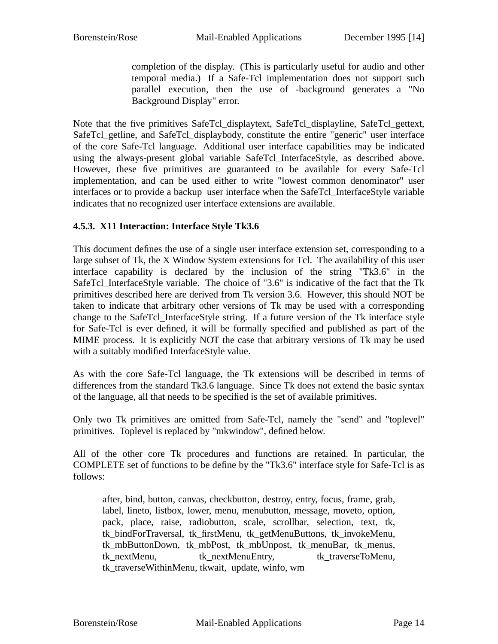completion of the display. (This is particularly useful for audio and other temporal media.) If a Safe-Tcl implementation does not support such parallel execution, then the use of -background generates a "No Background Display" error.

Note that the five primitives SafeTcl\_displaytext, SafeTcl\_displayline, SafeTcl\_gettext, SafeTcl\_getline, and SafeTcl\_displaybody, constitute the entire "generic" user interface of the core Safe-Tcl language. Additional user interface capabilities may be indicated using the always-present global variable SafeTcl InterfaceStyle, as described above. However, these five primitives are guaranteed to be available for every Safe-Tcl implementation, and can be used either to write "lowest common denominator" user interfaces or to provide a backup user interface when the SafeTcl\_InterfaceStyle variable indicates that no recognized user interface extensions are available.

#### **4.5.3. X11 Interaction: Interface Style Tk3.6**

This document defines the use of a single user interface extension set, corresponding to a large subset of Tk, the X Window System extensions for Tcl. The availability of this user interface capability is declared by the inclusion of the string "Tk3.6" in the SafeTcl\_InterfaceStyle variable. The choice of "3.6" is indicative of the fact that the Tk primitives described here are derived from Tk version 3.6. However, this should NOT be taken to indicate that arbitrary other versions of Tk may be used with a corresponding change to the SafeTcl\_InterfaceStyle string. If a future version of the Tk interface style for Safe-Tcl is ever defined, it will be formally specified and published as part of the MIME process. It is explicitly NOT the case that arbitrary versions of Tk may be used with a suitably modified InterfaceStyle value.

As with the core Safe-Tcl language, the Tk extensions will be described in terms of differences from the standard Tk3.6 language. Since Tk does not extend the basic syntax of the language, all that needs to be specified is the set of available primitives.

Only two Tk primitives are omitted from Safe-Tcl, namely the "send" and "toplevel" primitives. Toplevel is replaced by "mkwindow", defined below.

All of the other core Tk procedures and functions are retained. In particular, the COMPLETE set of functions to be define by the "Tk3.6" interface style for Safe-Tcl is as follows:

after, bind, button, canvas, checkbutton, destroy, entry, focus, frame, grab, label, lineto, listbox, lower, menu, menubutton, message, moveto, option, pack, place, raise, radiobutton, scale, scrollbar, selection, text, tk, tk\_bindForTraversal, tk\_firstMenu, tk\_getMenuButtons, tk\_invokeMenu, tk\_mbButtonDown, tk\_mbPost, tk\_mbUnpost, tk\_menuBar, tk\_menus, tk\_nextMenu, tk\_nextMenuEntry, tk\_traverseToMenu, tk\_traverseWithinMenu, tkwait, update, winfo, wm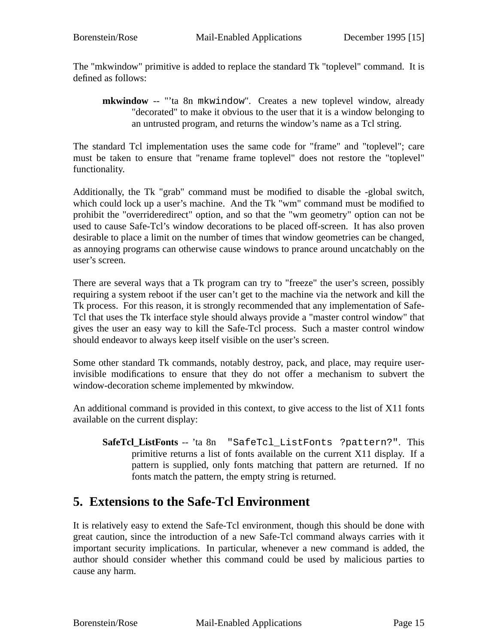The "mkwindow" primitive is added to replace the standard Tk "toplevel" command. It is defined as follows:

**mkwindow** -- "'ta 8n mkwindow". Creates a new toplevel window, already "decorated" to make it obvious to the user that it is a window belonging to an untrusted program, and returns the window's name as a Tcl string.

The standard Tcl implementation uses the same code for "frame" and "toplevel"; care must be taken to ensure that "rename frame toplevel" does not restore the "toplevel" functionality.

Additionally, the Tk "grab" command must be modified to disable the -global switch, which could lock up a user's machine. And the Tk "wm" command must be modified to prohibit the "overrideredirect" option, and so that the "wm geometry" option can not be used to cause Safe-Tcl's window decorations to be placed off-screen. It has also proven desirable to place a limit on the number of times that window geometries can be changed, as annoying programs can otherwise cause windows to prance around uncatchably on the user's screen.

There are several ways that a Tk program can try to "freeze" the user's screen, possibly requiring a system reboot if the user can't get to the machine via the network and kill the Tk process. For this reason, it is strongly recommended that any implementation of Safe-Tcl that uses the Tk interface style should always provide a "master control window" that gives the user an easy way to kill the Safe-Tcl process. Such a master control window should endeavor to always keep itself visible on the user's screen.

Some other standard Tk commands, notably destroy, pack, and place, may require userinvisible modifications to ensure that they do not offer a mechanism to subvert the window-decoration scheme implemented by mkwindow.

An additional command is provided in this context, to give access to the list of X11 fonts available on the current display:

**SafeTcl\_ListFonts** -- 'ta 8n "SafeTcl\_ListFonts ?pattern?". This primitive returns a list of fonts available on the current X11 display. If a pattern is supplied, only fonts matching that pattern are returned. If no fonts match the pattern, the empty string is returned.

### **5. Extensions to the Safe-Tcl Environment**

It is relatively easy to extend the Safe-Tcl environment, though this should be done with great caution, since the introduction of a new Safe-Tcl command always carries with it important security implications. In particular, whenever a new command is added, the author should consider whether this command could be used by malicious parties to cause any harm.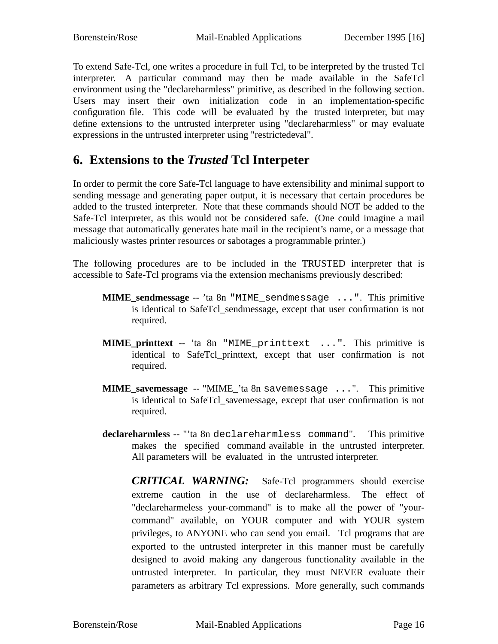To extend Safe-Tcl, one writes a procedure in full Tcl, to be interpreted by the trusted Tcl interpreter. A particular command may then be made available in the SafeTcl environment using the "declareharmless" primitive, as described in the following section. Users may insert their own initialization code in an implementation-specific configuration file. This code will be evaluated by the trusted interpreter, but may define extensions to the untrusted interpreter using "declareharmless" or may evaluate expressions in the untrusted interpreter using "restrictedeval".

# **6. Extensions to the** *Trusted* **Tcl Interpeter**

In order to permit the core Safe-Tcl language to have extensibility and minimal support to sending message and generating paper output, it is necessary that certain procedures be added to the trusted interpreter. Note that these commands should NOT be added to the Safe-Tcl interpreter, as this would not be considered safe. (One could imagine a mail message that automatically generates hate mail in the recipient's name, or a message that maliciously wastes printer resources or sabotages a programmable printer.)

The following procedures are to be included in the TRUSTED interpreter that is accessible to Safe-Tcl programs via the extension mechanisms previously described:

- **MIME\_sendmessage** -- 'ta 8n "MIME\_sendmessage ...". This primitive is identical to SafeTcl\_sendmessage, except that user confirmation is not required.
- **MIME\_printtext** -- 'ta 8n "MIME\_printtext ...". This primitive is identical to SafeTcl\_printtext, except that user confirmation is not required.
- **MIME\_savemessage** -- "MIME\_'ta 8n savemessage ...". This primitive is identical to SafeTcl\_savemessage, except that user confirmation is not required.
- **declareharmless** -- "'ta 8n declareharmless command". This primitive makes the specified command available in the untrusted interpreter. All parameters will be evaluated in the untrusted interpreter.
	- *CRITICAL WARNING:* Safe-Tcl programmers should exercise extreme caution in the use of declareharmless. The effect of "declareharmeless your-command" is to make all the power of "yourcommand" available, on YOUR computer and with YOUR system privileges, to ANYONE who can send you email. Tcl programs that are exported to the untrusted interpreter in this manner must be carefully designed to avoid making any dangerous functionality available in the untrusted interpreter. In particular, they must NEVER evaluate their parameters as arbitrary Tcl expressions. More generally, such commands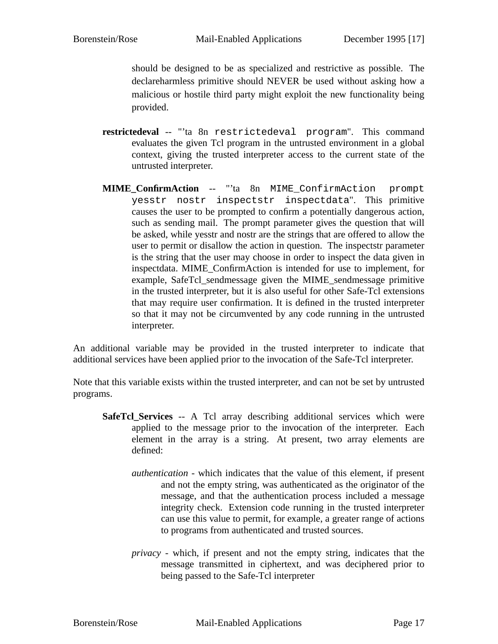should be designed to be as specialized and restrictive as possible. The declareharmless primitive should NEVER be used without asking how a malicious or hostile third party might exploit the new functionality being provided.

- **restrictedeval** -- "'ta 8n restrictedeval program". This command evaluates the given Tcl program in the untrusted environment in a global context, giving the trusted interpreter access to the current state of the untrusted interpreter.
- **MIME\_ConfirmAction** -- "'ta 8n MIME\_ConfirmAction prompt yesstr nostr inspectstr inspectdata". This primitive causes the user to be prompted to confirm a potentially dangerous action, such as sending mail. The prompt parameter gives the question that will be asked, while yesstr and nostr are the strings that are offered to allow the user to permit or disallow the action in question. The inspectstr parameter is the string that the user may choose in order to inspect the data given in inspectdata. MIME\_ConfirmAction is intended for use to implement, for example, SafeTcl\_sendmessage given the MIME\_sendmessage primitive in the trusted interpreter, but it is also useful for other Safe-Tcl extensions that may require user confirmation. It is defined in the trusted interpreter so that it may not be circumvented by any code running in the untrusted interpreter.

An additional variable may be provided in the trusted interpreter to indicate that additional services have been applied prior to the invocation of the Safe-Tcl interpreter.

Note that this variable exists within the trusted interpreter, and can not be set by untrusted programs.

- **SafeTcl Services** -- A Tcl array describing additional services which were applied to the message prior to the invocation of the interpreter. Each element in the array is a string. At present, two array elements are defined:
	- *authentication* which indicates that the value of this element, if present and not the empty string, was authenticated as the originator of the message, and that the authentication process included a message integrity check. Extension code running in the trusted interpreter can use this value to permit, for example, a greater range of actions to programs from authenticated and trusted sources.
	- *privacy* which, if present and not the empty string, indicates that the message transmitted in ciphertext, and was deciphered prior to being passed to the Safe-Tcl interpreter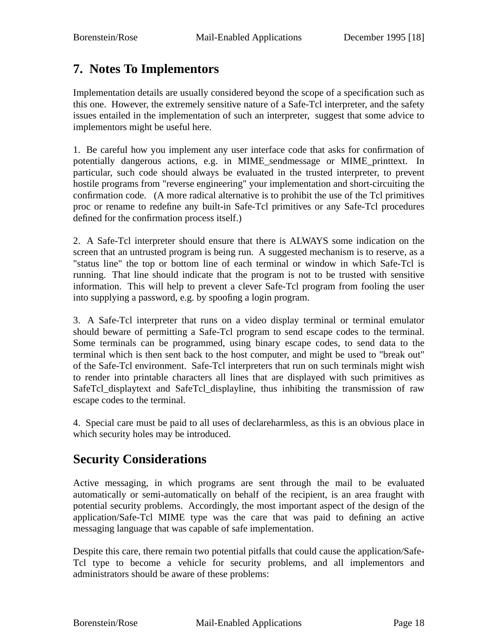# **7. Notes To Implementors**

Implementation details are usually considered beyond the scope of a specification such as this one. However, the extremely sensitive nature of a Safe-Tcl interpreter, and the safety issues entailed in the implementation of such an interpreter, suggest that some advice to implementors might be useful here.

1. Be careful how you implement any user interface code that asks for confirmation of potentially dangerous actions, e.g. in MIME\_sendmessage or MIME\_printtext. In particular, such code should always be evaluated in the trusted interpreter, to prevent hostile programs from "reverse engineering" your implementation and short-circuiting the confirmation code. (A more radical alternative is to prohibit the use of the Tcl primitives proc or rename to redefine any built-in Safe-Tcl primitives or any Safe-Tcl procedures defined for the confirmation process itself.)

2. A Safe-Tcl interpreter should ensure that there is ALWAYS some indication on the screen that an untrusted program is being run. A suggested mechanism is to reserve, as a "status line" the top or bottom line of each terminal or window in which Safe-Tcl is running. That line should indicate that the program is not to be trusted with sensitive information. This will help to prevent a clever Safe-Tcl program from fooling the user into supplying a password, e.g. by spoofing a login program.

3. A Safe-Tcl interpreter that runs on a video display terminal or terminal emulator should beware of permitting a Safe-Tcl program to send escape codes to the terminal. Some terminals can be programmed, using binary escape codes, to send data to the terminal which is then sent back to the host computer, and might be used to "break out" of the Safe-Tcl environment. Safe-Tcl interpreters that run on such terminals might wish to render into printable characters all lines that are displayed with such primitives as SafeTcl\_displaytext and SafeTcl\_displayline, thus inhibiting the transmission of raw escape codes to the terminal.

4. Special care must be paid to all uses of declareharmless, as this is an obvious place in which security holes may be introduced.

# **Security Considerations**

Active messaging, in which programs are sent through the mail to be evaluated automatically or semi-automatically on behalf of the recipient, is an area fraught with potential security problems. Accordingly, the most important aspect of the design of the application/Safe-Tcl MIME type was the care that was paid to defining an active messaging language that was capable of safe implementation.

Despite this care, there remain two potential pitfalls that could cause the application/Safe-Tcl type to become a vehicle for security problems, and all implementors and administrators should be aware of these problems: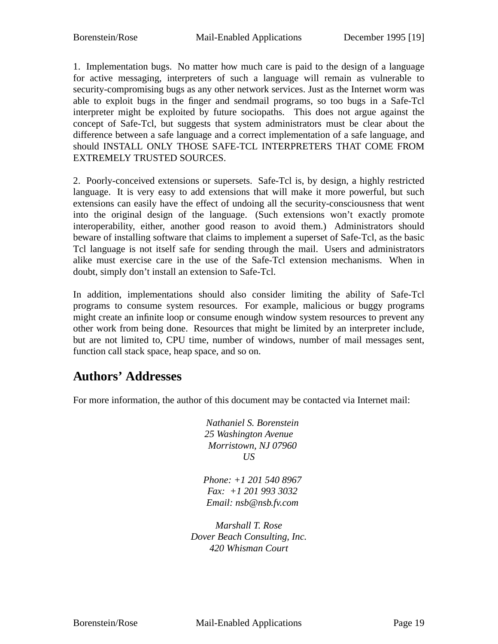1. Implementation bugs. No matter how much care is paid to the design of a language for active messaging, interpreters of such a language will remain as vulnerable to security-compromising bugs as any other network services. Just as the Internet worm was able to exploit bugs in the finger and sendmail programs, so too bugs in a Safe-Tcl interpreter might be exploited by future sociopaths. This does not argue against the concept of Safe-Tcl, but suggests that system administrators must be clear about the difference between a safe language and a correct implementation of a safe language, and should INSTALL ONLY THOSE SAFE-TCL INTERPRETERS THAT COME FROM EXTREMELY TRUSTED SOURCES.

2. Poorly-conceived extensions or supersets. Safe-Tcl is, by design, a highly restricted language. It is very easy to add extensions that will make it more powerful, but such extensions can easily have the effect of undoing all the security-consciousness that went into the original design of the language. (Such extensions won't exactly promote interoperability, either, another good reason to avoid them.) Administrators should beware of installing software that claims to implement a superset of Safe-Tcl, as the basic Tcl language is not itself safe for sending through the mail. Users and administrators alike must exercise care in the use of the Safe-Tcl extension mechanisms. When in doubt, simply don't install an extension to Safe-Tcl.

In addition, implementations should also consider limiting the ability of Safe-Tcl programs to consume system resources. For example, malicious or buggy programs might create an infinite loop or consume enough window system resources to prevent any other work from being done. Resources that might be limited by an interpreter include, but are not limited to, CPU time, number of windows, number of mail messages sent, function call stack space, heap space, and so on.

# **Authors' Addresses**

For more information, the author of this document may be contacted via Internet mail:

*Nathaniel S. Borenstein 25 Washington Avenue Morristown, NJ 07960 US*

*Phone: +1 201 540 8967 Fax: +1 201 993 3032 Email: nsb@nsb.fv.com*

*Marshall T. Rose Dover Beach Consulting, Inc. 420 Whisman Court*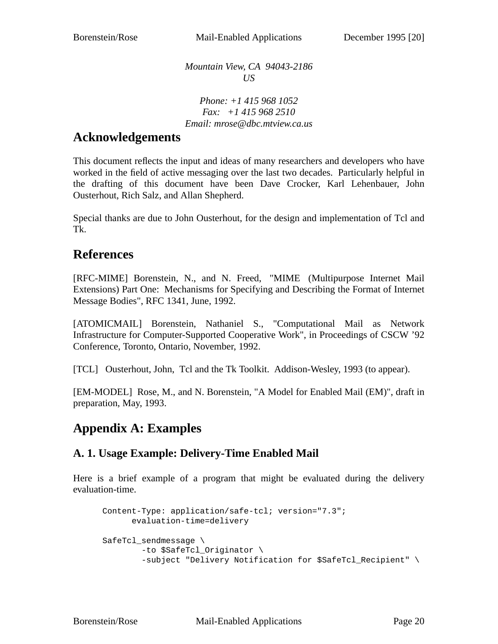*Mountain View, CA 94043-2186 US*

*Phone: +1 415 968 1052 Fax: +1 415 968 2510 Email: mrose@dbc.mtview.ca.us*

### **Acknowledgements**

This document reflects the input and ideas of many researchers and developers who have worked in the field of active messaging over the last two decades. Particularly helpful in the drafting of this document have been Dave Crocker, Karl Lehenbauer, John Ousterhout, Rich Salz, and Allan Shepherd.

Special thanks are due to John Ousterhout, for the design and implementation of Tcl and Tk.

### **References**

[RFC-MIME] Borenstein, N., and N. Freed, "MIME (Multipurpose Internet Mail Extensions) Part One: Mechanisms for Specifying and Describing the Format of Internet Message Bodies", RFC 1341, June, 1992.

[ATOMICMAIL] Borenstein, Nathaniel S., "Computational Mail as Network Infrastructure for Computer-Supported Cooperative Work", in Proceedings of CSCW '92 Conference, Toronto, Ontario, November, 1992.

[TCL] Ousterhout, John, Tcl and the Tk Toolkit. Addison-Wesley, 1993 (to appear).

[EM-MODEL] Rose, M., and N. Borenstein, "A Model for Enabled Mail (EM)", draft in preparation, May, 1993.

# **Appendix A: Examples**

### **A. 1. Usage Example: Delivery-Time Enabled Mail**

Here is a brief example of a program that might be evaluated during the delivery evaluation-time.

```
Content-Type: application/safe-tcl; version="7.3";
     evaluation-time=delivery
SafeTcl_sendmessage \
       -to $SafeTcl_Originator \
        -subject "Delivery Notification for $SafeTcl_Recipient" \
```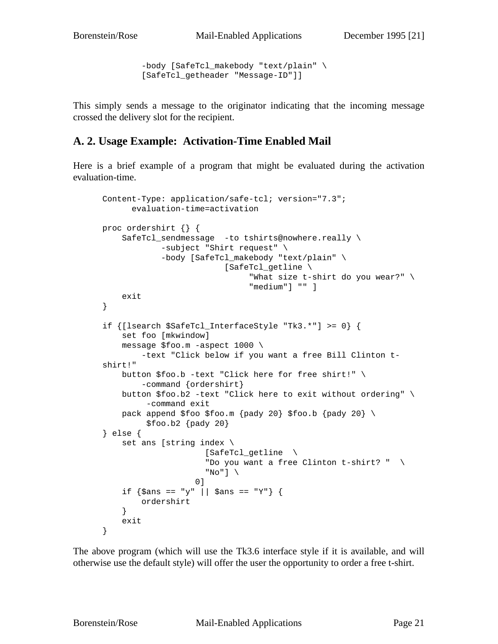```
-body [SafeTcl_makebody "text/plain" \
[SafeTcl_getheader "Message-ID"]]
```
This simply sends a message to the originator indicating that the incoming message crossed the delivery slot for the recipient.

#### **A. 2. Usage Example: Activation-Time Enabled Mail**

Here is a brief example of a program that might be evaluated during the activation evaluation-time.

```
Content-Type: application/safe-tcl; version="7.3";
      evaluation-time=activation
proc ordershirt {} {
    SafeTcl_sendmessage -to tshirts@nowhere.really \
            -subject "Shirt request" \
            -body [SafeTcl_makebody "text/plain" \
                         [SafeTcl_getline \
                               "What size t-shirt do you wear?" \
                               "medium"] "" ]
   exit
}
if {[lsearch $SafeTcl_InterfaceStyle "Tk3.*"] >= 0} {
    set foo [mkwindow]
    message $foo.m -aspect 1000 \
        -text "Click below if you want a free Bill Clinton t-
shirt!"
    button $foo.b -text "Click here for free shirt!" \
        -command {ordershirt}
    button $foo.b2 -text "Click here to exit without ordering" \
         -command exit
    pack append $foo $foo.m {pady 20} $foo.b {pady 20} \
         $foo.b2 [pady 20]} else {
    set ans [string index \
                     [SafeTcl_getline \
                     "Do you want a free Clinton t-shirt? " \
                     "No"] \setminus0]
    if \{\text{\$ans} == "y" || \text{\$ans} == "Y"\}ordershirt
    }
    exit
}
```
The above program (which will use the Tk3.6 interface style if it is available, and will otherwise use the default style) will offer the user the opportunity to order a free t-shirt.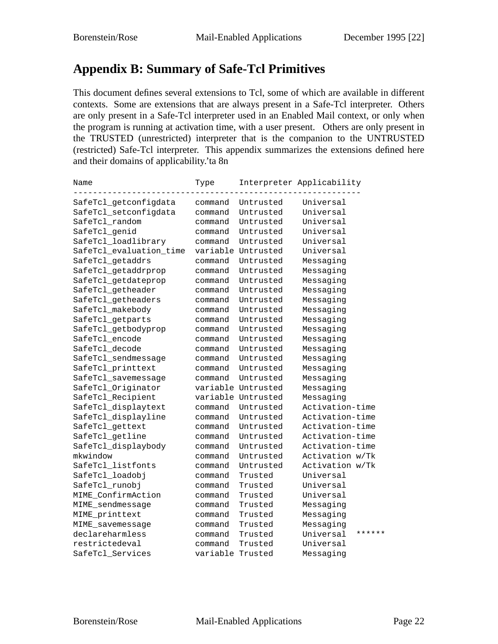# **Appendix B: Summary of Safe-Tcl Primitives**

This document defines several extensions to Tcl, some of which are available in different contexts. Some are extensions that are always present in a Safe-Tcl interpreter. Others are only present in a Safe-Tcl interpreter used in an Enabled Mail context, or only when the program is running at activation time, with a user present. Others are only present in the TRUSTED (unrestricted) interpreter that is the companion to the UNTRUSTED (restricted) Safe-Tcl interpreter. This appendix summarizes the extensions defined here and their domains of applicability.' ta 8n

| Name                    | Type             |           | Interpreter Applicability |        |
|-------------------------|------------------|-----------|---------------------------|--------|
| SafeTcl_getconfigdata   | command          | Untrusted | Universal                 |        |
| SafeTcl_setconfigdata   | command          | Untrusted | Universal                 |        |
| SafeTcl_random          | command          | Untrusted | Universal                 |        |
| SafeTcl_genid           | command          | Untrusted | Universal                 |        |
| SafeTcl_loadlibrary     | command          | Untrusted | Universal                 |        |
| SafeTcl_evaluation_time | variable         | Untrusted | Universal                 |        |
| SafeTcl_getaddrs        | command          | Untrusted | Messaging                 |        |
| SafeTcl_getaddrprop     | command          | Untrusted | Messaging                 |        |
| SafeTcl_getdateprop     | command          | Untrusted | Messaging                 |        |
| SafeTcl_getheader       | command          | Untrusted | Messaging                 |        |
| SafeTcl_getheaders      | command          | Untrusted | Messaging                 |        |
| SafeTcl_makebody        | command          | Untrusted | Messaging                 |        |
| SafeTcl_getparts        | command          | Untrusted | Messaging                 |        |
| SafeTcl_getbodyprop     | command          | Untrusted | Messaging                 |        |
| SafeTcl_encode          | command          | Untrusted | Messaging                 |        |
| SafeTcl_decode          | command          | Untrusted | Messaging                 |        |
| SafeTcl_sendmessage     | command          | Untrusted | Messaging                 |        |
| SafeTcl_printtext       | command          | Untrusted | Messaging                 |        |
| SafeTcl savemessage     | command          | Untrusted | Messaging                 |        |
| SafeTcl_Originator      | variable         | Untrusted | Messaging                 |        |
| SafeTcl_Recipient       | variable         | Untrusted | Messaging                 |        |
| SafeTcl_displaytext     | command          | Untrusted | Activation-time           |        |
| SafeTcl_displayline     | command          | Untrusted | Activation-time           |        |
| SafeTcl_gettext         | command          | Untrusted | Activation-time           |        |
| SafeTcl_getline         | command          | Untrusted | Activation-time           |        |
| SafeTcl_displaybody     | command          | Untrusted | Activation-time           |        |
| mkwindow                | command          | Untrusted | Activation w/Tk           |        |
| SafeTcl listfonts       | command          | Untrusted | Activation w/Tk           |        |
| SafeTcl_loadobj         | command          | Trusted   | Universal                 |        |
| SafeTcl_runobj          | command          | Trusted   | Universal                 |        |
| MIME_ConfirmAction      | command          | Trusted   | Universal                 |        |
| MIME_sendmessage        | command          | Trusted   | Messaging                 |        |
| MIME_printtext          | command          | Trusted   | Messaging                 |        |
| MIME_savemessage        | command          | Trusted   | Messaging                 |        |
| declareharmless         | command          | Trusted   | Universal                 | ****** |
| restrictedeval          | command          | Trusted   | Universal                 |        |
| SafeTcl_Services        | variable Trusted |           | Messaging                 |        |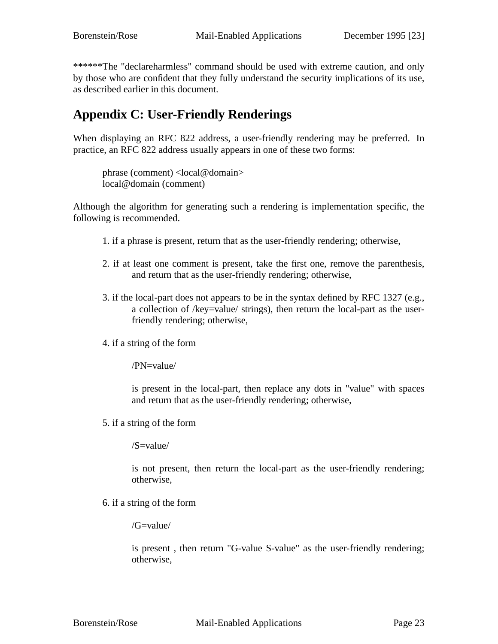\*\*\*\*\*\*The "declareharmless" command should be used with extreme caution, and only by those who are confident that they fully understand the security implications of its use, as described earlier in this document.

# **Appendix C: User-Friendly Renderings**

When displaying an RFC 822 address, a user-friendly rendering may be preferred. In practice, an RFC 822 address usually appears in one of these two forms:

phrase (comment) <local@domain> local@domain (comment)

Although the algorithm for generating such a rendering is implementation specific, the following is recommended.

- 1. if a phrase is present, return that as the user-friendly rendering; otherwise,
- 2. if at least one comment is present, take the first one, remove the parenthesis, and return that as the user-friendly rendering; otherwise,
- 3. if the local-part does not appears to be in the syntax defined by RFC 1327 (e.g., a collection of /key=value/ strings), then return the local-part as the userfriendly rendering; otherwise,
- 4. if a string of the form

/PN=value/

is present in the local-part, then replace any dots in "value" with spaces and return that as the user-friendly rendering; otherwise,

5. if a string of the form

/S=value/

is not present, then return the local-part as the user-friendly rendering; otherwise,

6. if a string of the form

/G=value/

is present , then return "G-value S-value" as the user-friendly rendering; otherwise,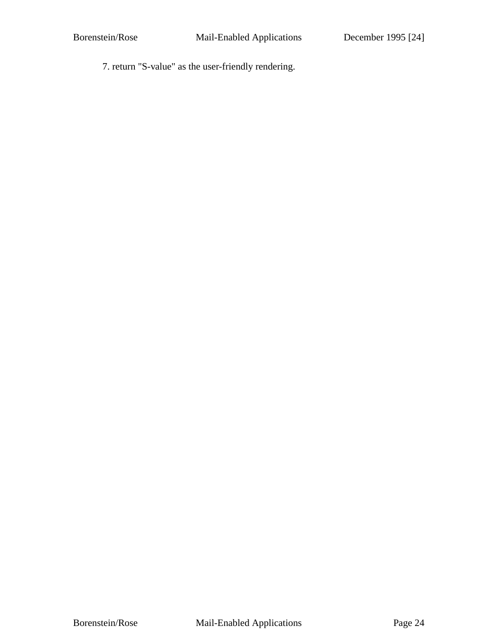7. return "S-value" as the user-friendly rendering.